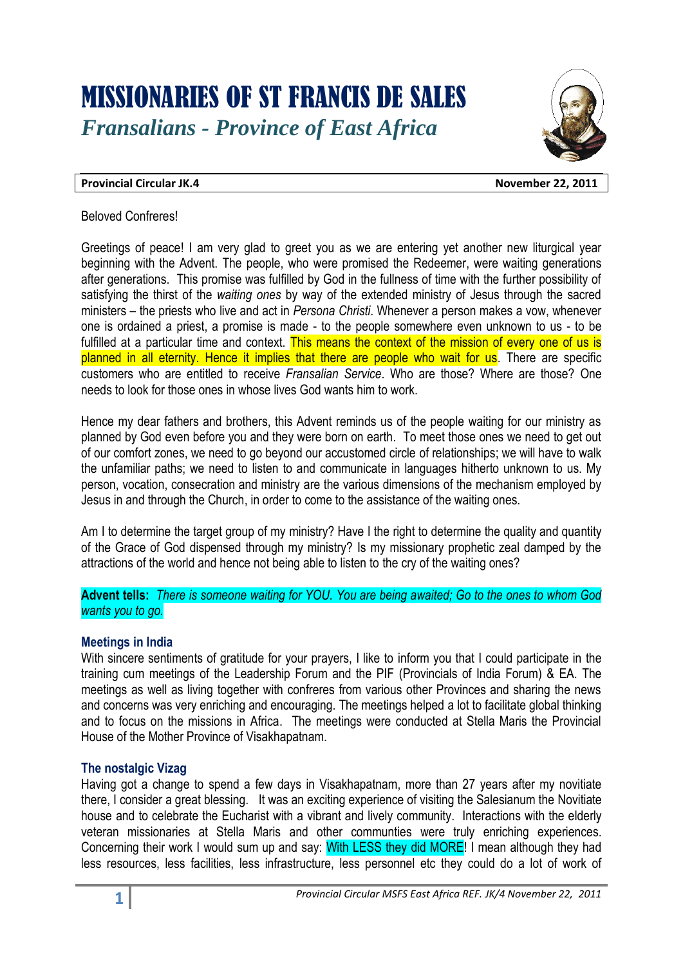# MISSIONARIES OF ST FRANCIS DE SALES *Fransalians - Province of East Africa*



#### **Provincial Circular JK.4 November 22, 2011**

#### Beloved Confreres!

Greetings of peace! I am very glad to greet you as we are entering yet another new liturgical year beginning with the Advent. The people, who were promised the Redeemer, were waiting generations after generations. This promise was fulfilled by God in the fullness of time with the further possibility of satisfying the thirst of the *waiting ones* by way of the extended ministry of Jesus through the sacred ministers – the priests who live and act in *Persona Christi*. Whenever a person makes a vow, whenever one is ordained a priest, a promise is made - to the people somewhere even unknown to us - to be fulfilled at a particular time and context. This means the context of the mission of every one of us is planned in all eternity. Hence it implies that there are people who wait for us. There are specific customers who are entitled to receive *Fransalian Service*. Who are those? Where are those? One needs to look for those ones in whose lives God wants him to work.

Hence my dear fathers and brothers, this Advent reminds us of the people waiting for our ministry as planned by God even before you and they were born on earth. To meet those ones we need to get out of our comfort zones, we need to go beyond our accustomed circle of relationships; we will have to walk the unfamiliar paths; we need to listen to and communicate in languages hitherto unknown to us. My person, vocation, consecration and ministry are the various dimensions of the mechanism employed by Jesus in and through the Church, in order to come to the assistance of the waiting ones.

Am I to determine the target group of my ministry? Have I the right to determine the quality and quantity of the Grace of God dispensed through my ministry? Is my missionary prophetic zeal damped by the attractions of the world and hence not being able to listen to the cry of the waiting ones?

**Advent tells:** *There is someone waiting for YOU. You are being awaited; Go to the ones to whom God wants you to go.*

# **Meetings in India**

With sincere sentiments of gratitude for your prayers, I like to inform you that I could participate in the training cum meetings of the Leadership Forum and the PIF (Provincials of India Forum) & EA. The meetings as well as living together with confreres from various other Provinces and sharing the news and concerns was very enriching and encouraging. The meetings helped a lot to facilitate global thinking and to focus on the missions in Africa. The meetings were conducted at Stella Maris the Provincial House of the Mother Province of Visakhapatnam.

# **The nostalgic Vizag**

Having got a change to spend a few days in Visakhapatnam, more than 27 years after my novitiate there, I consider a great blessing. It was an exciting experience of visiting the Salesianum the Novitiate house and to celebrate the Eucharist with a vibrant and lively community. Interactions with the elderly veteran missionaries at Stella Maris and other communties were truly enriching experiences. Concerning their work I would sum up and say: With LESS they did MORE! I mean although they had less resources, less facilities, less infrastructure, less personnel etc they could do a lot of work of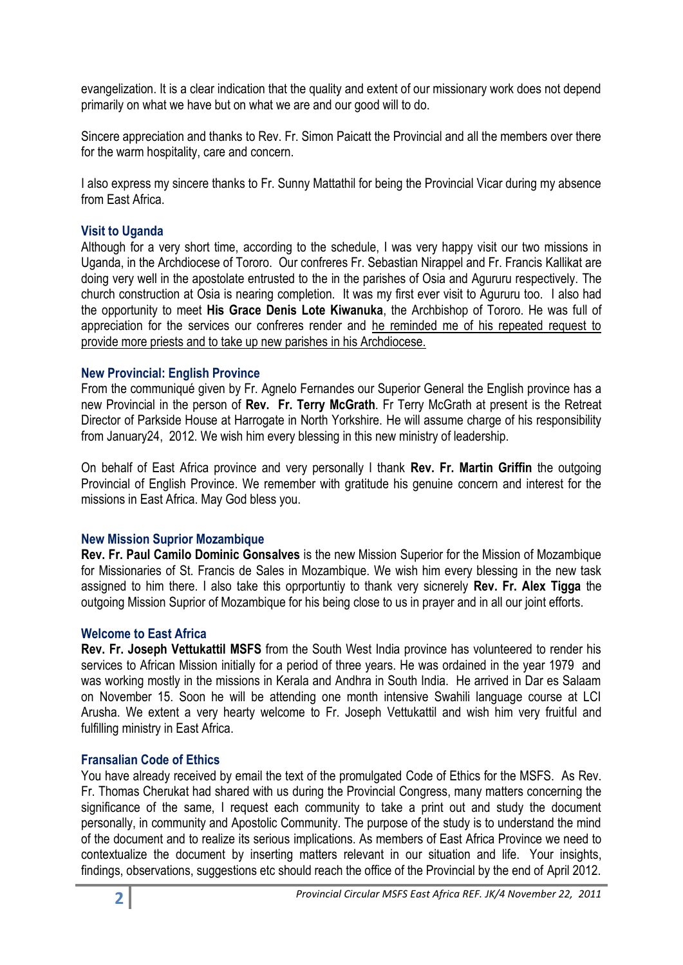evangelization. It is a clear indication that the quality and extent of our missionary work does not depend primarily on what we have but on what we are and our good will to do.

Sincere appreciation and thanks to Rev. Fr. Simon Paicatt the Provincial and all the members over there for the warm hospitality, care and concern.

I also express my sincere thanks to Fr. Sunny Mattathil for being the Provincial Vicar during my absence from East Africa.

# **Visit to Uganda**

Although for a very short time, according to the schedule, I was very happy visit our two missions in Uganda, in the Archdiocese of Tororo. Our confreres Fr. Sebastian Nirappel and Fr. Francis Kallikat are doing very well in the apostolate entrusted to the in the parishes of Osia and Agururu respectively. The church construction at Osia is nearing completion. It was my first ever visit to Agururu too. I also had the opportunity to meet **His Grace Denis Lote Kiwanuka**, the Archbishop of Tororo. He was full of appreciation for the services our confreres render and he reminded me of his repeated request to provide more priests and to take up new parishes in his Archdiocese.

#### **New Provincial: English Province**

From the communiqué given by Fr. Agnelo Fernandes our Superior General the English province has a new Provincial in the person of **Rev. Fr. Terry McGrath**. Fr Terry McGrath at present is the Retreat Director of Parkside House at Harrogate in North Yorkshire. He will assume charge of his responsibility from January24, 2012. We wish him every blessing in this new ministry of leadership.

On behalf of East Africa province and very personally I thank **Rev. Fr. Martin Griffin** the outgoing Provincial of English Province. We remember with gratitude his genuine concern and interest for the missions in East Africa. May God bless you.

#### **New Mission Suprior Mozambique**

**Rev. Fr. Paul Camilo Dominic Gonsalves** is the new Mission Superior for the Mission of Mozambique for Missionaries of St. Francis de Sales in Mozambique. We wish him every blessing in the new task assigned to him there. I also take this oprportuntiy to thank very sicnerely **Rev. Fr. Alex Tigga** the outgoing Mission Suprior of Mozambique for his being close to us in prayer and in all our joint efforts.

#### **Welcome to East Africa**

**Rev. Fr. Joseph Vettukattil MSFS** from the South West India province has volunteered to render his services to African Mission initially for a period of three years. He was ordained in the year 1979 and was working mostly in the missions in Kerala and Andhra in South India. He arrived in Dar es Salaam on November 15. Soon he will be attending one month intensive Swahili language course at LCI Arusha. We extent a very hearty welcome to Fr. Joseph Vettukattil and wish him very fruitful and fulfilling ministry in East Africa.

#### **Fransalian Code of Ethics**

You have already received by email the text of the promulgated Code of Ethics for the MSFS. As Rev. Fr. Thomas Cherukat had shared with us during the Provincial Congress, many matters concerning the significance of the same, I request each community to take a print out and study the document personally, in community and Apostolic Community. The purpose of the study is to understand the mind of the document and to realize its serious implications. As members of East Africa Province we need to contextualize the document by inserting matters relevant in our situation and life. Your insights, findings, observations, suggestions etc should reach the office of the Provincial by the end of April 2012.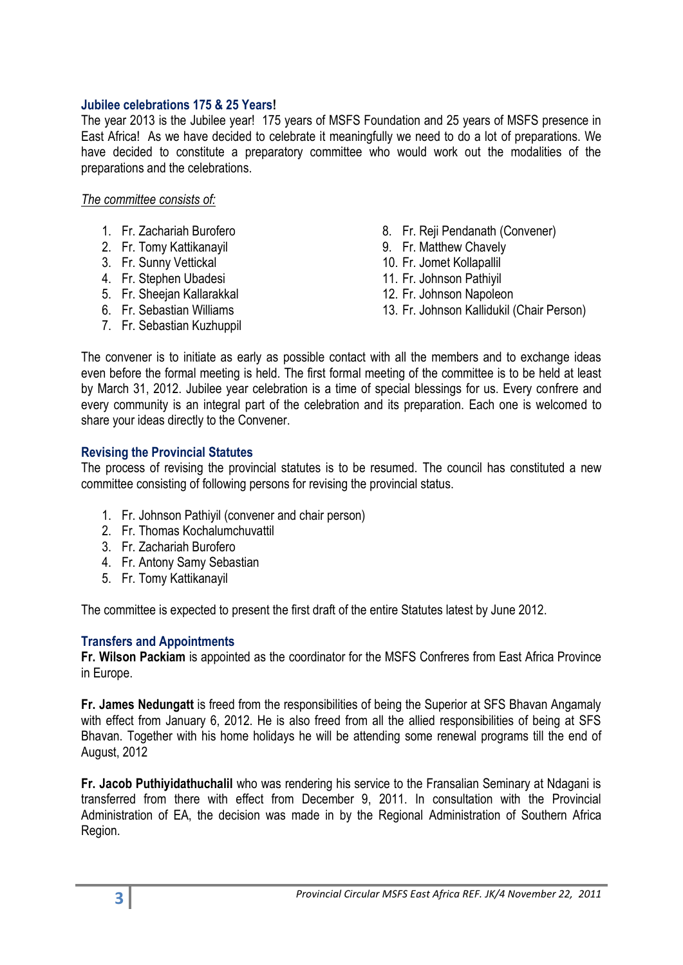# **Jubilee celebrations 175 & 25 Years!**

The year 2013 is the Jubilee year! 175 years of MSFS Foundation and 25 years of MSFS presence in East Africa! As we have decided to celebrate it meaningfully we need to do a lot of preparations. We have decided to constitute a preparatory committee who would work out the modalities of the preparations and the celebrations.

# *The committee consists of:*

- 1. Fr. Zachariah Burofero
- 2. Fr. Tomy Kattikanayil
- 3. Fr. Sunny Vettickal
- 4. Fr. Stephen Ubadesi
- 5. Fr. Sheejan Kallarakkal
- 6. Fr. Sebastian Williams
- 7. Fr. Sebastian Kuzhuppil
- 8. Fr. Reji Pendanath (Convener)
- 9. Fr. Matthew Chavely
- 10. Fr. Jomet Kollapallil
- 11. Fr. Johnson Pathiyil
- 12. Fr. Johnson Napoleon
- 13. Fr. Johnson Kallidukil (Chair Person)

The convener is to initiate as early as possible contact with all the members and to exchange ideas even before the formal meeting is held. The first formal meeting of the committee is to be held at least by March 31, 2012. Jubilee year celebration is a time of special blessings for us. Every confrere and every community is an integral part of the celebration and its preparation. Each one is welcomed to share your ideas directly to the Convener.

# **Revising the Provincial Statutes**

The process of revising the provincial statutes is to be resumed. The council has constituted a new committee consisting of following persons for revising the provincial status.

- 1. Fr. Johnson Pathiyil (convener and chair person)
- 2. Fr. Thomas Kochalumchuvattil
- 3. Fr. Zachariah Burofero
- 4. Fr. Antony Samy Sebastian
- 5. Fr. Tomy Kattikanayil

The committee is expected to present the first draft of the entire Statutes latest by June 2012.

#### **Transfers and Appointments**

**Fr. Wilson Packiam** is appointed as the coordinator for the MSFS Confreres from East Africa Province in Europe.

**Fr. James Nedungatt** is freed from the responsibilities of being the Superior at SFS Bhavan Angamaly with effect from January 6, 2012. He is also freed from all the allied responsibilities of being at SFS Bhavan. Together with his home holidays he will be attending some renewal programs till the end of August, 2012

**Fr. Jacob Puthiyidathuchalil** who was rendering his service to the Fransalian Seminary at Ndagani is transferred from there with effect from December 9, 2011. In consultation with the Provincial Administration of EA, the decision was made in by the Regional Administration of Southern Africa Region.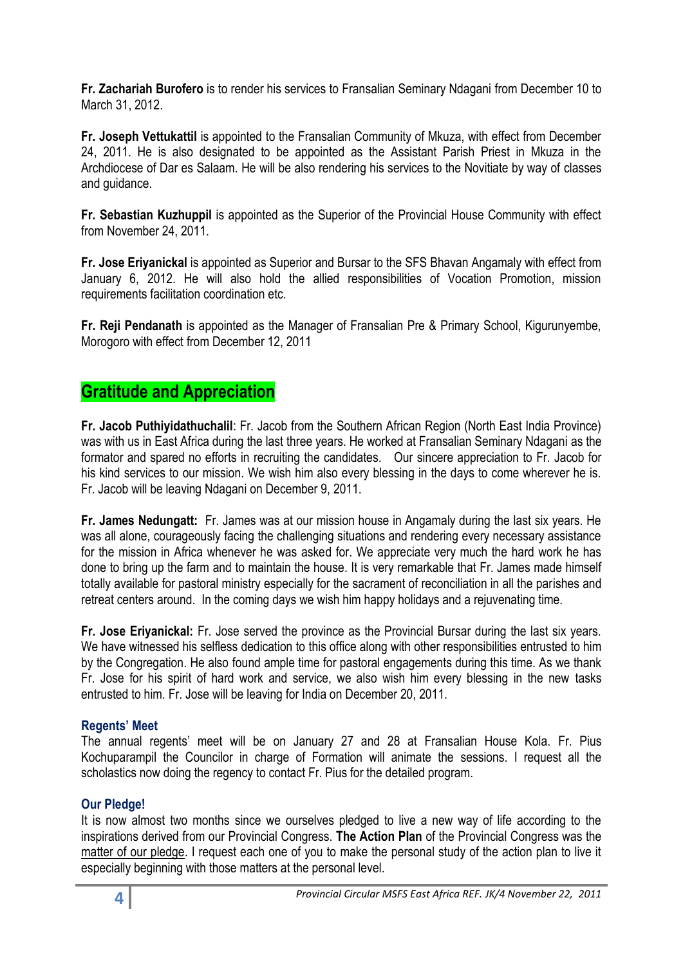**Fr. Zachariah Burofero** is to render his services to Fransalian Seminary Ndagani from December 10 to March 31, 2012.

**Fr. Joseph Vettukattil** is appointed to the Fransalian Community of Mkuza, with effect from December 24, 2011. He is also designated to be appointed as the Assistant Parish Priest in Mkuza in the Archdiocese of Dar es Salaam. He will be also rendering his services to the Novitiate by way of classes and guidance.

**Fr. Sebastian Kuzhuppil** is appointed as the Superior of the Provincial House Community with effect from November 24, 2011.

**Fr. Jose Eriyanickal** is appointed as Superior and Bursar to the SFS Bhavan Angamaly with effect from January 6, 2012. He will also hold the allied responsibilities of Vocation Promotion, mission requirements facilitation coordination etc.

**Fr. Reji Pendanath** is appointed as the Manager of Fransalian Pre & Primary School, Kigurunyembe, Morogoro with effect from December 12, 2011

# **Gratitude and Appreciation**

**Fr. Jacob Puthiyidathuchalil**: Fr. Jacob from the Southern African Region (North East India Province) was with us in East Africa during the last three years. He worked at Fransalian Seminary Ndagani as the formator and spared no efforts in recruiting the candidates. Our sincere appreciation to Fr. Jacob for his kind services to our mission. We wish him also every blessing in the days to come wherever he is. Fr. Jacob will be leaving Ndagani on December 9, 2011.

**Fr. James Nedungatt:** Fr. James was at our mission house in Angamaly during the last six years. He was all alone, courageously facing the challenging situations and rendering every necessary assistance for the mission in Africa whenever he was asked for. We appreciate very much the hard work he has done to bring up the farm and to maintain the house. It is very remarkable that Fr. James made himself totally available for pastoral ministry especially for the sacrament of reconciliation in all the parishes and retreat centers around. In the coming days we wish him happy holidays and a rejuvenating time.

**Fr. Jose Eriyanickal:** Fr. Jose served the province as the Provincial Bursar during the last six years. We have witnessed his selfless dedication to this office along with other responsibilities entrusted to him by the Congregation. He also found ample time for pastoral engagements during this time. As we thank Fr. Jose for his spirit of hard work and service, we also wish him every blessing in the new tasks entrusted to him. Fr. Jose will be leaving for India on December 20, 2011.

# **Regents' Meet**

The annual regents' meet will be on January 27 and 28 at Fransalian House Kola. Fr. Pius Kochuparampil the Councilor in charge of Formation will animate the sessions. I request all the scholastics now doing the regency to contact Fr. Pius for the detailed program.

# **Our Pledge!**

It is now almost two months since we ourselves pledged to live a new way of life according to the inspirations derived from our Provincial Congress. **The Action Plan** of the Provincial Congress was the matter of our pledge. I request each one of you to make the personal study of the action plan to live it especially beginning with those matters at the personal level.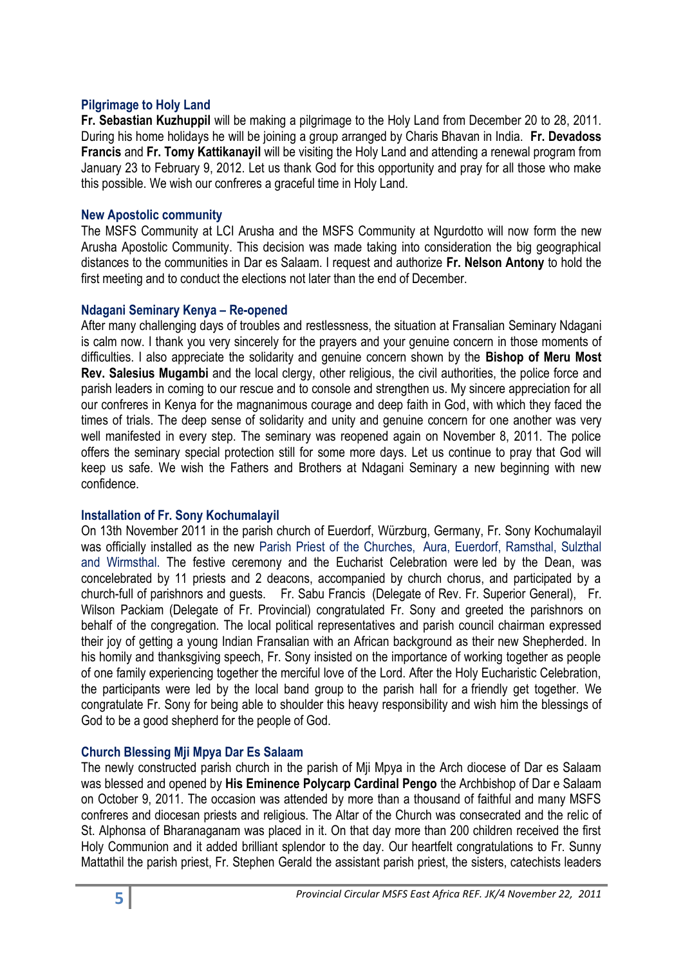# **Pilgrimage to Holy Land**

**Fr. Sebastian Kuzhuppil** will be making a pilgrimage to the Holy Land from December 20 to 28, 2011. During his home holidays he will be joining a group arranged by Charis Bhavan in India. **Fr. Devadoss Francis** and **Fr. Tomy Kattikanayil** will be visiting the Holy Land and attending a renewal program from January 23 to February 9, 2012. Let us thank God for this opportunity and pray for all those who make this possible. We wish our confreres a graceful time in Holy Land.

#### **New Apostolic community**

The MSFS Community at LCI Arusha and the MSFS Community at Ngurdotto will now form the new Arusha Apostolic Community. This decision was made taking into consideration the big geographical distances to the communities in Dar es Salaam. I request and authorize **Fr. Nelson Antony** to hold the first meeting and to conduct the elections not later than the end of December.

#### **Ndagani Seminary Kenya – Re-opened**

After many challenging days of troubles and restlessness, the situation at Fransalian Seminary Ndagani is calm now. I thank you very sincerely for the prayers and your genuine concern in those moments of difficulties. I also appreciate the solidarity and genuine concern shown by the **Bishop of Meru Most Rev. Salesius Mugambi** and the local clergy, other religious, the civil authorities, the police force and parish leaders in coming to our rescue and to console and strengthen us. My sincere appreciation for all our confreres in Kenya for the magnanimous courage and deep faith in God, with which they faced the times of trials. The deep sense of solidarity and unity and genuine concern for one another was very well manifested in every step. The seminary was reopened again on November 8, 2011. The police offers the seminary special protection still for some more days. Let us continue to pray that God will keep us safe. We wish the Fathers and Brothers at Ndagani Seminary a new beginning with new confidence.

#### **Installation of Fr. Sony Kochumalayil**

On 13th November 2011 in the parish church of Euerdorf, Würzburg, Germany, Fr. Sony Kochumalayil was officially installed as the new Parish Priest of the Churches, Aura, Euerdorf, Ramsthal, Sulzthal and Wirmsthal. The festive ceremony and the Eucharist Celebration were led by the Dean, was concelebrated by 11 priests and 2 deacons, accompanied by church chorus, and participated by a church-full of parishnors and guests. Fr. Sabu Francis (Delegate of Rev. Fr. Superior General), Fr. Wilson Packiam (Delegate of Fr. Provincial) congratulated Fr. Sony and greeted the parishnors on behalf of the congregation. The local political representatives and parish council chairman expressed their joy of getting a young Indian Fransalian with an African background as their new Shepherded. In his homily and thanksgiving speech, Fr. Sony insisted on the importance of working together as people of one family experiencing together the merciful love of the Lord. After the Holy Eucharistic Celebration, the participants were led by the local band group to the parish hall for a friendly get together. We congratulate Fr. Sony for being able to shoulder this heavy responsibility and wish him the blessings of God to be a good shepherd for the people of God.

#### **Church Blessing Mji Mpya Dar Es Salaam**

The newly constructed parish church in the parish of Mji Mpya in the Arch diocese of Dar es Salaam was blessed and opened by **His Eminence Polycarp Cardinal Pengo** the Archbishop of Dar e Salaam on October 9, 2011. The occasion was attended by more than a thousand of faithful and many MSFS confreres and diocesan priests and religious. The Altar of the Church was consecrated and the relic of St. Alphonsa of Bharanaganam was placed in it. On that day more than 200 children received the first Holy Communion and it added brilliant splendor to the day. Our heartfelt congratulations to Fr. Sunny Mattathil the parish priest, Fr. Stephen Gerald the assistant parish priest, the sisters, catechists leaders